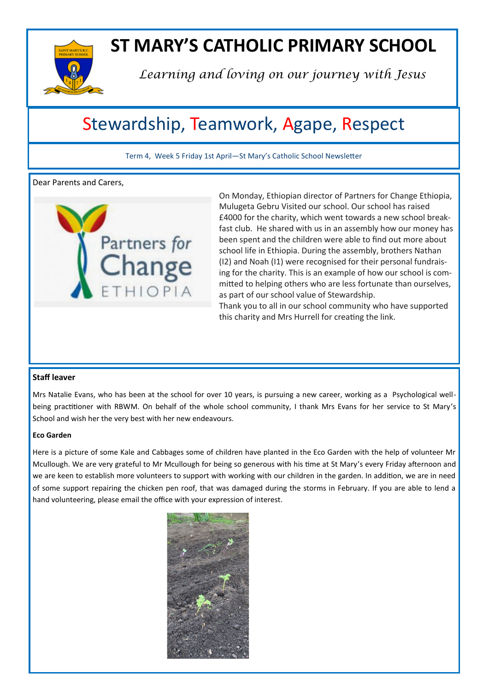

# **ST MARY'S CATHOLIC PRIMARY SCHOOL**

*Learning and loving on our journey with Jesus*

# Stewardship, Teamwork, Agape, Respect

Term 4, Week 5 Friday 1st April—St Mary's Catholic School Newsletter

Dear Parents and Carers,



On Monday, Ethiopian director of Partners for Change Ethiopia, Mulugeta Gebru Visited our school. Our school has raised £4000 for the charity, which went towards a new school breakfast club. He shared with us in an assembly how our money has been spent and the children were able to find out more about school life in Ethiopia. During the assembly, brothers Nathan (I2) and Noah (I1) were recognised for their personal fundraising for the charity. This is an example of how our school is committed to helping others who are less fortunate than ourselves, as part of our school value of Stewardship.

Thank you to all in our school community who have supported this charity and Mrs Hurrell for creating the link.

#### **Staff leaver**

Mrs Natalie Evans, who has been at the school for over 10 years, is pursuing a new career, working as a Psychological wellbeing practitioner with RBWM. On behalf of the whole school community, I thank Mrs Evans for her service to St Mary's School and wish her the very best with her new endeavours.

#### **Eco Garden**

Here is a picture of some Kale and Cabbages some of children have planted in the Eco Garden with the help of volunteer Mr Mcullough. We are very grateful to Mr Mcullough for being so generous with his time at St Mary's every Friday afternoon and we are keen to establish more volunteers to support with working with our children in the garden. In addition, we are in need of some support repairing the chicken pen roof, that was damaged during the storms in February. If you are able to lend a hand volunteering, please email the office with your expression of interest.

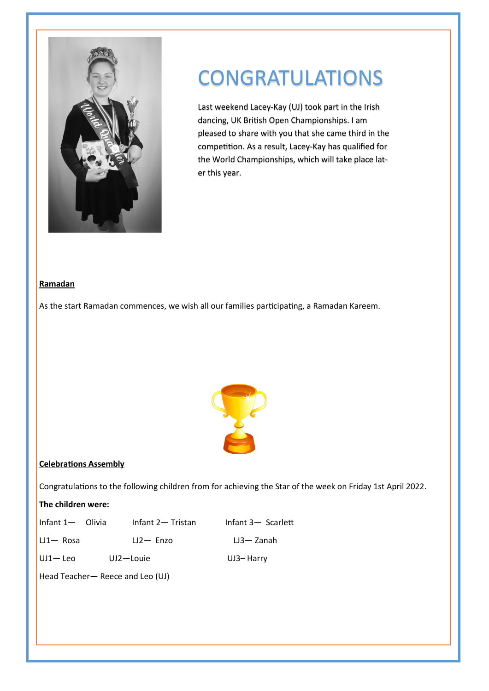

# CONGRATULATIONS

Last weekend Lacey-Kay (UJ) took part in the Irish dancing, UK British Open Championships. I am pleased to share with you that she came third in the competition. As a result, Lacey-Kay has qualified for the World Championships, which will take place later this year.

#### **Ramadan**

As the start Ramadan commences, we wish all our families participating, a Ramadan Kareem.



#### **Celebrations Assembly**

Congratulations to the following children from for achieving the Star of the week on Friday 1st April 2022.

#### **The children were:**

| Infant 1 — <i>Olivia</i> |              | Infant 2- Tristan | Infant 3- Scarlett |
|--------------------------|--------------|-------------------|--------------------|
| $LI - Rosa$              |              | $LJ2 - Enzo$      | $L3 - Z$ anah      |
| $UJ1 - Leo$              | $UJ2$ –Louie |                   | UJ3-Harry          |

Head Teacher— Reece and Leo (UJ)